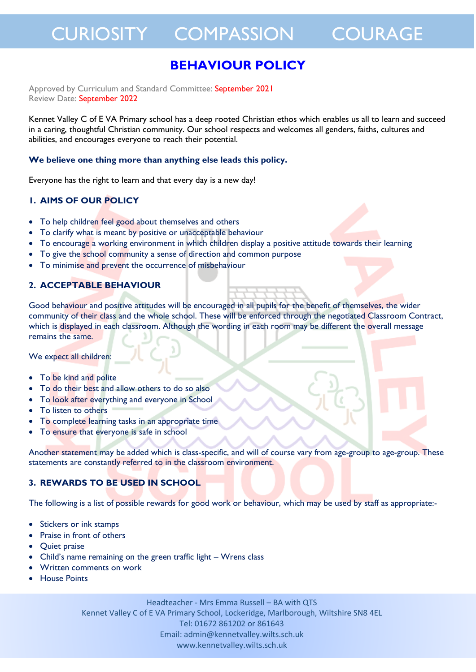### CURIOSITY COMPASSION COURAGE

### **BEHAVIOUR POLICY**

Approved by Curriculum and Standard Committee: September 2021 Review Date: September 2022

Kennet Valley C of E VA Primary school has a deep rooted Christian ethos which enables us all to learn and succeed in a caring, thoughtful Christian community. Our school respects and welcomes all genders, faiths, cultures and abilities, and encourages everyone to reach their potential.

#### **We believe one thing more than anything else leads this policy.**

Everyone has the right to learn and that every day is a new day!

#### **1. AIMS OF OUR POLICY**

- To help children feel good about themselves and others
- To clarify what is meant by positive or unacceptable behaviour
- To encourage a working environment in which children display a positive attitude towards their learning
- To give the school community a sense of direction and common purpose
- To minimise and prevent the occurrence of misbehaviour

### **2. ACCEPTABLE BEHAVIOUR**

Good behaviour and positive attitudes will be encouraged in all pupils for the benefit of themselves, the wider community of their class and the whole school. These will be enforced through the negotiated Classroom Contract, which is displayed in each classroom. Although the wording in each room may be different the overall message remains the same.

We expect all children:

- To be kind and polite
- To do their best and allow others to do so also
- To look after everything and everyone in School
- To listen to others
- To complete learning tasks in an appropriate time
- To ensure that everyone is safe in school

Another statement may be added which is class-specific, and will of course vary from age-group to age-group. These statements are constantly referred to in the classroom environment.

#### **3. REWARDS TO BE USED IN SCHOOL**

The following is a list of possible rewards for good work or behaviour, which may be used by staff as appropriate:-

- Stickers or ink stamps
- Praise in front of others
- Quiet praise
- Child's name remaining on the green traffic light Wrens class
- Written comments on work
- House Points

Headteacher - Mrs Emma Russell – BA with QTS Kennet Valley C of E VA Primary School, Lockeridge, Marlborough, Wiltshire SN8 4EL Tel: 01672 861202 or 861643 Email: admin@kennetvalley.wilts.sch.uk www.kennetvalley.wilts.sch.uk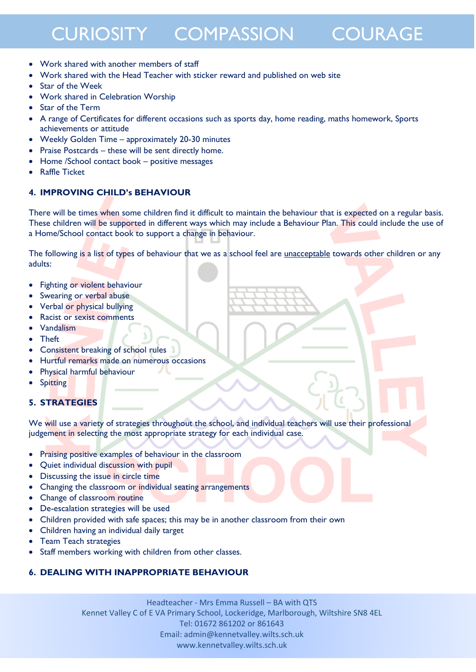# CURIOSITY COMPASSION COURAGE

- Work shared with another members of staff
- Work shared with the Head Teacher with sticker reward and published on web site
- Star of the Week
- Work shared in Celebration Worship
- Star of the Term
- A range of Certificates for different occasions such as sports day, home reading, maths homework, Sports achievements or attitude
- Weekly Golden Time approximately 20-30 minutes
- Praise Postcards these will be sent directly home.
- Home /School contact book positive messages
- Raffle Ticket

#### **4. IMPROVING CHILD's BEHAVIOUR**

There will be times when some children find it difficult to maintain the behaviour that is expected on a regular basis. These children will be supported in different ways which may include a Behaviour Plan. This could include the use of a Home/School contact book to support a change in behaviour.

The following is a list of types of behaviour that we as a school feel are *unacceptable* towards other children or any adults:

- Fighting or violent behaviour
- Swearing or verbal abuse
- Verbal or physical bullying
- Racist or sexist comments
- Vandalism
- **Theft**
- Consistent breaking of school rules
- Hurtful remarks made on numerous occasions
- Physical harmful behaviour
- Spitting

#### **5. STRATEGIES**

We will use a variety of strategies throughout the school, and individual teachers will use their professional judgement in selecting the most appropriate strategy for each individual case.

- Praising positive examples of behaviour in the classroom
- Quiet individual discussion with pupil
- Discussing the issue in circle time
- Changing the classroom or individual seating arrangements
- Change of classroom routine
- De-escalation strategies will be used
- Children provided with safe spaces; this may be in another classroom from their own
- Children having an individual daily target
- Team Teach strategies
- Staff members working with children from other classes.

#### **6. DEALING WITH INAPPROPRIATE BEHAVIOUR**

Headteacher - Mrs Emma Russell – BA with QTS Kennet Valley C of E VA Primary School, Lockeridge, Marlborough, Wiltshire SN8 4EL Tel: 01672 861202 or 861643 Email: admin@kennetvalley.wilts.sch.uk www.kennetvalley.wilts.sch.uk